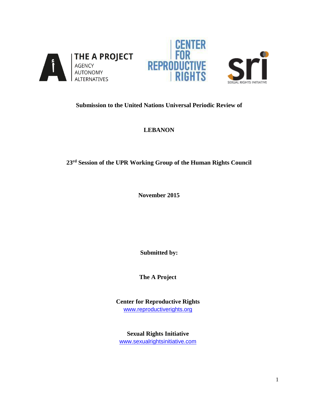





# **Submission to the United Nations Universal Periodic Review of**

# **LEBANON**

# **23rd Session of the UPR Working Group of the Human Rights Council**

**November 2015**

**Submitted by:** 

**The A Project**

**Center for Reproductive Rights**  [www.reproductiverights.org](http://www.reproductiverights.org/)

**Sexual Rights Initiative**  [www.sexualrightsinitiative.com](http://www.sexualrightsinitiative.com/)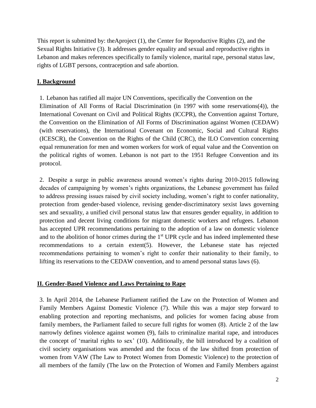This report is submitted by: theAproject (1), the Center for Reproductive Rights (2), and the Sexual Rights Initiative (3). It addresses gender equality and sexual and reproductive rights in Lebanon and makes references specifically to family violence, marital rape, personal status law, rights of LGBT persons, contraception and safe abortion.

# **I. Background**

1. Lebanon has ratified all major UN Conventions, specifically the Convention on the Elimination of All Forms of Racial Discrimination (in 1997 with some reservations(4)), the International Covenant on Civil and Political Rights (ICCPR), the Convention against Torture, the Convention on the Elimination of All Forms of Discrimination against Women (CEDAW) (with reservations), the International Covenant on Economic, Social and Cultural Rights (ICESCR), the Convention on the Rights of the Child (CRC), the ILO Convention concerning equal remuneration for men and women workers for work of equal value and the Convention on the political rights of women. Lebanon is not part to the 1951 Refugee Convention and its protocol.

2. Despite a surge in public awareness around women's rights during 2010-2015 following decades of campaigning by women's rights organizations, the Lebanese government has failed to address pressing issues raised by civil society including, women's right to confer nationality, protection from gender-based violence, revising gender-discriminatory sexist laws governing sex and sexuality, a unified civil personal status law that ensures gender equality, in addition to protection and decent living conditions for migrant domestic workers and refugees. Lebanon has accepted UPR recommendations pertaining to the adoption of a law on domestic violence and to the abolition of honor crimes during the 1<sup>st</sup> UPR cycle and has indeed implemented these recommendations to a certain extent(5). However, the Lebanese state has rejected recommendations pertaining to women's right to confer their nationality to their family, to lifting its reservations to the CEDAW convention, and to amend personal status laws (6).

### **II. Gender-Based Violence and Laws Pertaining to Rape**

3. In April 2014, the Lebanese Parliament ratified the Law on the Protection of Women and Family Members Against Domestic Violence (7). While this was a major step forward to enabling protection and reporting mechanisms, and policies for women facing abuse from family members, the Parliament failed to secure full rights for women (8). Article 2 of the law narrowly defines violence against women (9), fails to criminalize marital rape, and introduces the concept of 'marital rights to sex' (10). Additionally, the bill introduced by a coalition of civil society organisations was amended and the focus of the law shifted from protection of women from VAW (The Law to Protect Women from Domestic Violence) to the protection of all members of the family (The law on the Protection of Women and Family Members against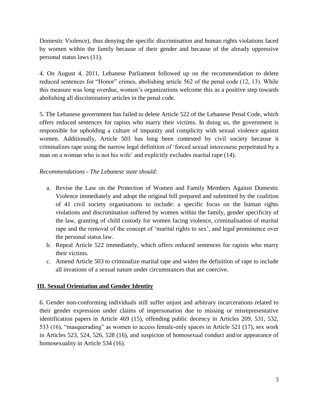Domestic Violence), thus denying the specific discrimination and human rights violations faced by women within the family because of their gender and because of the already oppressive personal status laws (11).

4. On August 4, 2011, Lebanese Parliament followed up on the recommendation to delete reduced sentences for "Honor" crimes, abolishing article 562 of the penal code (12, 13). While this measure was long overdue, women's organizations welcome this as a positive step towards abolishing all discriminatory articles in the penal code.

5. The Lebanese government has failed to delete Article 522 of the Lebanese Penal Code, which offers reduced sentences for rapists who marry their victims. In doing so, the government is responsible for upholding a culture of impunity and complicity with sexual violence against women. Additionally, Article 503 has long been contested by civil society because it criminalizes rape using the narrow legal definition of 'forced sexual intercourse perpetrated by a man on a woman who is not his wife' and explicitly excludes marital rape (14).

# *Recommendations - The Lebanese state should:*

- a. Revise the Law on the Protection of Women and Family Members Against Domestic Violence immediately and adopt the original bill prepared and submitted by the coalition of 41 civil society organisations to include: a specific focus on the human rights violations and discrimination suffered by women within the family, gender specificity of the law, granting of child custody for women facing violence, criminalisation of marital rape and the removal of the concept of 'marital rights to sex', and legal prominence over the personal status law.
- b. Repeal Article 522 immediately, which offers reduced sentences for rapists who marry their victims.
- c. Amend Article 503 to criminalize marital rape and widen the definition of rape to include all invasions of a sexual nature under circumstances that are coercive.

# **III. Sexual Orientation and Gender Identity**

6. Gender non-conforming individuals still suffer unjust and arbitrary incarcerations related to their gender expression under claims of impersonation due to missing or misrepresentative identification papers in Article 469 (15), offending public decency in Articles 209, 531, 532, 533 (16), "masquerading" as women to access female-only spaces in Article 521 (17), sex work in Articles 523, 524, 526, 528 (16), and suspicion of homosexual conduct and/or appearance of homosexuality in Article 534 (16).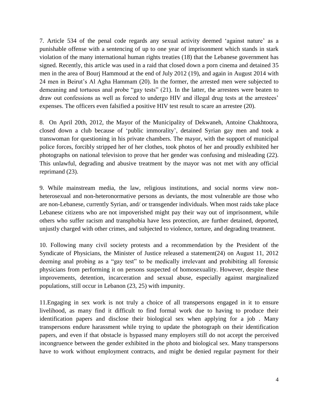7. Article 534 of the penal code regards any sexual activity deemed 'against nature' as a punishable offense with a sentencing of up to one year of imprisonment which stands in stark violation of the many international human rights treaties (18) that the Lebanese government has signed. Recently, this article was used in a raid that closed down a porn cinema and detained 35 men in the area of Bourj Hammoud at the end of July 2012 (19), and again in August 2014 with 24 men in Beirut's Al Agha Hammam (20). In the former, the arrested men were subjected to demeaning and tortuous anal probe "gay tests" (21). In the latter, the arrestees were beaten to draw out confessions as well as forced to undergo HIV and illegal drug tests at the arrestees' expenses. The officers even falsified a positive HIV test result to scare an arrestee (20).

8. On April 20th, 2012, the Mayor of the Municipality of Dekwaneh, Antoine Chakhtoora, closed down a club because of 'public immorality', detained Syrian gay men and took a transwoman for questioning in his private chambers. The mayor, with the support of municipal police forces, forcibly stripped her of her clothes, took photos of her and proudly exhibited her photographs on national television to prove that her gender was confusing and misleading (22). This unlawful, degrading and abusive treatment by the mayor was not met with any official reprimand (23).

9. While mainstream media, the law, religious institutions, and social norms view nonheterosexual and non-heteronormative persons as deviants, the most vulnerable are those who are non-Lebanese, currently Syrian, and/ or transgender individuals. When most raids take place Lebanese citizens who are not impoverished might pay their way out of imprisonment, while others who suffer racism and transphobia have less protection, are further detained, deported, unjustly charged with other crimes, and subjected to violence, torture, and degrading treatment.

10. Following many civil society protests and a recommendation by the President of the Syndicate of Physicians, the Minister of Justice released a statement(24) on August 11, 2012 deeming anal probing as a "gay test" to be medically irrelevant and prohibiting all forensic physicians from performing it on persons suspected of homosexuality. However, despite these improvements, detention, incarceration and sexual abuse, especially against marginalized populations, still occur in Lebanon (23, 25) with impunity.

11.Engaging in sex work is not truly a choice of all transpersons engaged in it to ensure livelihood, as many find it difficult to find formal work due to having to produce their identification papers and disclose their biological sex when applying for a job . Many transpersons endure harassment while trying to update the photograph on their identification papers, and even if that obstacle is bypassed many employers still do not accept the perceived incongruence between the gender exhibited in the photo and biological sex. Many transpersons have to work without employment contracts, and might be denied regular payment for their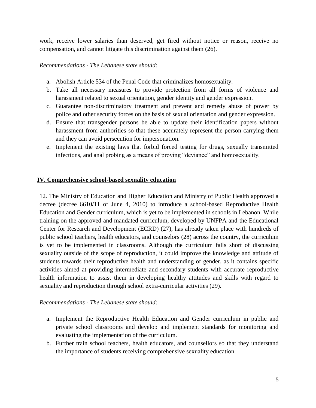work, receive lower salaries than deserved, get fired without notice or reason, receive no compensation, and cannot litigate this discrimination against them (26).

#### *Recommendations - The Lebanese state should:*

- a. Abolish Article 534 of the Penal Code that criminalizes homosexuality.
- b. Take all necessary measures to provide protection from all forms of violence and harassment related to sexual orientation, gender identity and gender expression.
- c. Guarantee non-discriminatory treatment and prevent and remedy abuse of power by police and other security forces on the basis of sexual orientation and gender expression.
- d. Ensure that transgender persons be able to update their identification papers without harassment from authorities so that these accurately represent the person carrying them and they can avoid persecution for impersonation.
- e. Implement the existing laws that forbid forced testing for drugs, sexually transmitted infections, and anal probing as a means of proving "deviance" and homosexuality.

#### **IV. Comprehensive school-based sexuality education**

12. The Ministry of Education and Higher Education and Ministry of Public Health approved a decree (decree 6610/11 of June 4, 2010) to introduce a school-based Reproductive Health Education and Gender curriculum, which is yet to be implemented in schools in Lebanon. While training on the approved and mandated curriculum, developed by UNFPA and the Educational Center for Research and Development (ECRD) (27), has already taken place with hundreds of public school teachers, health educators, and counselors (28) across the country, the curriculum is yet to be implemented in classrooms. Although the curriculum falls short of discussing sexuality outside of the scope of reproduction, it could improve the knowledge and attitude of students towards their reproductive health and understanding of gender, as it contains specific activities aimed at providing intermediate and secondary students with accurate reproductive health information to assist them in developing healthy attitudes and skills with regard to sexuality and reproduction through school extra-curricular activities (29).

#### *Recommendations - The Lebanese state should:*

- a. Implement the Reproductive Health Education and Gender curriculum in public and private school classrooms and develop and implement standards for monitoring and evaluating the implementation of the curriculum.
- b. Further train school teachers, health educators, and counsellors so that they understand the importance of students receiving comprehensive sexuality education.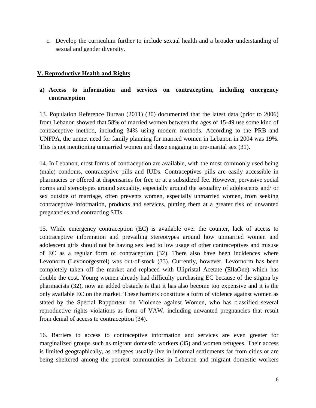c. Develop the curriculum further to include sexual health and a broader understanding of sexual and gender diversity.

### **V. Reproductive Health and Rights**

# **a) Access to information and services on contraception, including emergency contraception**

13. Population Reference Bureau (2011) (30) documented that the latest data (prior to 2006) from Lebanon showed that 58% of married women between the ages of 15-49 use some kind of contraceptive method, including 34% using modern methods. According to the PRB and UNFPA, the unmet need for family planning for married women in Lebanon in 2004 was 19%. This is not mentioning unmarried women and those engaging in pre-marital sex (31).

14. In Lebanon, most forms of contraception are available, with the most commonly used being (male) condoms, contraceptive pills and IUDs. Contraceptives pills are easily accessible in pharmacies or offered at dispensaries for free or at a subsidized fee. However, pervasive social norms and stereotypes around sexuality, especially around the sexuality of adolescents and/ or sex outside of marriage, often prevents women, especially unmarried women, from seeking contraceptive information, products and services, putting them at a greater risk of unwanted pregnancies and contracting STIs.

15. While emergency contraception (EC) is available over the counter, lack of access to contraceptive information and prevailing stereotypes around how unmarried women and adolescent girls should not be having sex lead to low usage of other contraceptives and misuse of EC as a regular form of contraception (32). There also have been incidences where Levonorm (Levonorgestrel) was out-of-stock (33). Currently, however, Levornorm has been completely taken off the market and replaced with Ulipristal Acetate (EllaOne) which has double the cost. Young women already had difficulty purchasing EC because of the stigma by pharmacists (32), now an added obstacle is that it has also become too expensive and it is the only available EC on the market. These barriers constitute a form of violence against women as stated by the Special Rapporteur on Violence against Women, who has classified several reproductive rights violations as form of VAW, including unwanted pregnancies that result from denial of access to contraception (34).

16. Barriers to access to contraceptive information and services are even greater for marginalized groups such as migrant domestic workers (35) and women refugees. Their access is limited geographically, as refugees usually live in informal settlements far from cities or are being sheltered among the poorest communities in Lebanon and migrant domestic workers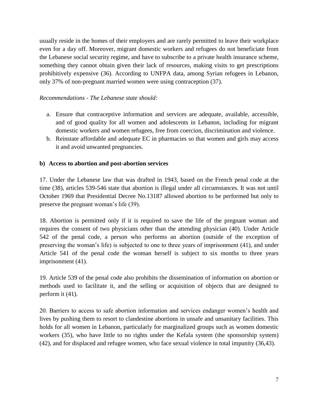usually reside in the homes of their employers and are rarely permitted to leave their workplace even for a day off. Moreover, migrant domestic workers and refugees do not beneficiate from the Lebanese social security regime, and have to subscribe to a private health insurance scheme, something they cannot obtain given their lack of resources, making visits to get prescriptions prohibitively expensive (36). According to UNFPA data, among Syrian refugees in Lebanon, only 37% of non-pregnant married women were using contraception (37).

#### *Recommendations - The Lebanese state should:*

- a. Ensure that contraceptive information and services are adequate, available, accessible, and of good quality for all women and adolescents in Lebanon, including for migrant domestic workers and women refugees, free from coercion, discrimination and violence.
- b. Reinstate affordable and adequate EC in pharmacies so that women and girls may access it and avoid unwanted pregnancies.

#### **b) Access to abortion and post-abortion services**

17. Under the Lebanese law that was drafted in 1943, based on the French penal code at the time (38), articles 539-546 state that abortion is illegal under all circumstances. It was not until October 1969 that Presidential Decree No.13187 allowed abortion to be performed but only to preserve the pregnant woman's life (39).

18. Abortion is permitted only if it is required to save the life of the pregnant woman and requires the consent of two physicians other than the attending physician (40). Under Article 542 of the penal code, a person who performs an abortion (outside of the exception of preserving the woman's life) is subjected to one to three years of imprisonment (41), and under Article 541 of the penal code the woman herself is subject to six months to three years imprisonment (41).

19. Article 539 of the penal code also prohibits the dissemination of information on abortion or methods used to facilitate it, and the selling or acquisition of objects that are designed to perform it (41).

20. Barriers to access to safe abortion information and services endanger women's health and lives by pushing them to resort to clandestine abortions in unsafe and unsanitary facilities. This holds for all women in Lebanon, particularly for marginalized groups such as women domestic workers (35), who have little to no rights under the Kefala system (the sponsorship system) (42), and for displaced and refugee women, who face sexual violence in total impunity (36,43).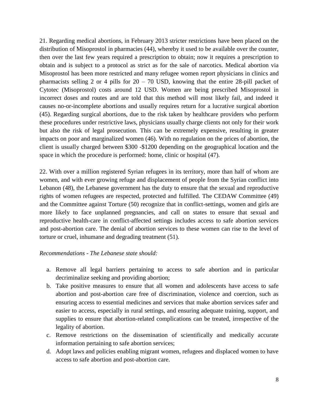21. Regarding medical abortions, in February 2013 stricter restrictions have been placed on the distribution of Misoprostol in pharmacies (44), whereby it used to be available over the counter, then over the last few years required a prescription to obtain; now it requires a prescription to obtain and is subject to a protocol as strict as for the sale of narcotics. Medical abortion via Misoprostol has been more restricted and many refugee women report physicians in clinics and pharmacists selling 2 or 4 pills for  $20 - 70$  USD, knowing that the entire 28-pill packet of Cytotec (Misoprostol) costs around 12 USD. Women are being prescribed Misoprostol in incorrect doses and routes and are told that this method will most likely fail, and indeed it causes no-or-incomplete abortions and usually requires return for a lucrative surgical abortion (45). Regarding surgical abortions, due to the risk taken by healthcare providers who perform these procedures under restrictive laws, physicians usually charge clients not only for their work but also the risk of legal prosecution. This can be extremely expensive, resulting in greater impacts on poor and marginalized women (46). With no regulation on the prices of abortion, the client is usually charged between \$300 -\$1200 depending on the geographical location and the space in which the procedure is performed: home, clinic or hospital (47).

22. With over a million registered Syrian refugees in its territory, more than half of whom are women, and with ever growing refuge and displacement of people from the Syrian conflict into Lebanon (48), the Lebanese government has the duty to ensure that the sexual and reproductive rights of women refugees are respected, protected and fulfilled. The CEDAW Committee (49) and the Committee against Torture (50) recognize that in conflict-settings, women and girls are more likely to face unplanned pregnancies, and call on states to ensure that sexual and reproductive health-care in conflict-affected settings includes access to safe abortion services and post-abortion care. The denial of abortion services to these women can rise to the level of torture or cruel, inhumane and degrading treatment (51).

#### *Recommendations - The Lebanese state should:*

- a. Remove all legal barriers pertaining to access to safe abortion and in particular decriminalize seeking and providing abortion;
- b. Take positive measures to ensure that all women and adolescents have access to safe abortion and post-abortion care free of discrimination, violence and coercion, such as ensuring access to essential medicines and services that make abortion services safer and easier to access, especially in rural settings, and ensuring adequate training, support, and supplies to ensure that abortion-related complications can be treated, irrespective of the legality of abortion.
- c. Remove restrictions on the dissemination of scientifically and medically accurate information pertaining to safe abortion services;
- d. Adopt laws and policies enabling migrant women, refugees and displaced women to have access to safe abortion and post-abortion care.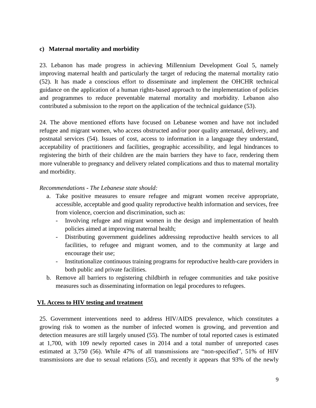### **c) Maternal mortality and morbidity**

23. Lebanon has made progress in achieving Millennium Development Goal 5, namely improving maternal health and particularly the target of reducing the maternal mortality ratio (52). It has made a conscious effort to disseminate and implement the OHCHR technical guidance on the application of a human rights-based approach to the implementation of policies and programmes to reduce preventable maternal mortality and morbidity. Lebanon also contributed a submission to the report on the application of the technical guidance (53).

24. The above mentioned efforts have focused on Lebanese women and have not included refugee and migrant women, who access obstructed and/or poor quality antenatal, delivery, and postnatal services (54). Issues of cost, access to information in a language they understand, acceptability of practitioners and facilities, geographic accessibility, and legal hindrances to registering the birth of their children are the main barriers they have to face, rendering them more vulnerable to pregnancy and delivery related complications and thus to maternal mortality and morbidity.

#### *Recommendations - The Lebanese state should:*

- a. Take positive measures to ensure refugee and migrant women receive appropriate, accessible, acceptable and good quality reproductive health information and services, free from violence, coercion and discrimination, such as:
	- Involving refugee and migrant women in the design and implementation of health policies aimed at improving maternal health;
	- Distributing government guidelines addressing reproductive health services to all facilities, to refugee and migrant women, and to the community at large and encourage their use;
	- Institutionalize continuous training programs for reproductive health-care providers in both public and private facilities.
- b. Remove all barriers to registering childbirth in refugee communities and take positive measures such as disseminating information on legal procedures to refugees.

#### **VI. Access to HIV testing and treatment**

25. Government interventions need to address HIV/AIDS prevalence, which constitutes a growing risk to women as the number of infected women is growing, and prevention and detection measures are still largely unused (55). The number of total reported cases is estimated at 1,700, with 109 newly reported cases in 2014 and a total number of unreported cases estimated at 3,750 (56). While 47% of all transmissions are "non-specified", 51% of HIV transmissions are due to sexual relations (55), and recently it appears that 93% of the newly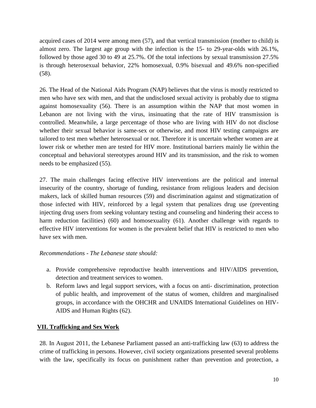acquired cases of 2014 were among men (57), and that vertical transmission (mother to child) is almost zero. The largest age group with the infection is the 15- to 29-year-olds with 26.1%, followed by those aged 30 to 49 at 25.7%. Of the total infections by sexual transmission 27.5% is through heterosexual behavior, 22% homosexual, 0.9% bisexual and 49.6% non-specified (58).

26. The Head of the National Aids Program (NAP) believes that the virus is mostly restricted to men who have sex with men, and that the undisclosed sexual activity is probably due to stigma against homosexuality (56). There is an assumption within the NAP that most women in Lebanon are not living with the virus, insinuating that the rate of HIV transmission is controlled. Meanwhile, a large percentage of those who are living with HIV do not disclose whether their sexual behavior is same-sex or otherwise, and most HIV testing campaigns are tailored to test men whether heterosexual or not. Therefore it is uncertain whether women are at lower risk or whether men are tested for HIV more. Institutional barriers mainly lie within the conceptual and behavioral stereotypes around HIV and its transmission, and the risk to women needs to be emphasized (55).

27. The main challenges facing effective HIV interventions are the political and internal insecurity of the country, shortage of funding, resistance from religious leaders and decision makers, lack of skilled human resources (59) and discrimination against and stigmatization of those infected with HIV, reinforced by a legal system that penalizes drug use (preventing injecting drug users from seeking voluntary testing and counseling and hindering their access to harm reduction facilities) (60) and homosexuality (61). Another challenge with regards to effective HIV interventions for women is the prevalent belief that HIV is restricted to men who have sex with men.

### *Recommendations - The Lebanese state should:*

- a. Provide comprehensive reproductive health interventions and HIV/AIDS prevention, detection and treatment services to women.
- b. Reform laws and legal support services, with a focus on anti- discrimination, protection of public health, and improvement of the status of women, children and marginalised groups, in accordance with the OHCHR and UNAIDS International Guidelines on HIV-AIDS and Human Rights (62).

### **VII. Trafficking and Sex Work**

28. In August 2011, the Lebanese Parliament passed an anti-trafficking law (63) to address the crime of trafficking in persons. However, civil society organizations presented several problems with the law, specifically its focus on punishment rather than prevention and protection, a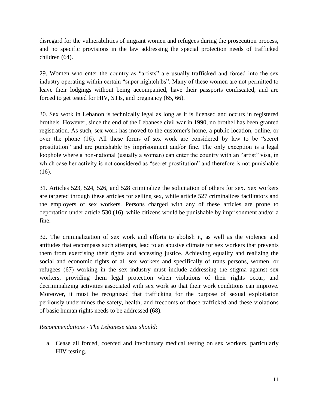disregard for the vulnerabilities of migrant women and refugees during the prosecution process, and no specific provisions in the law addressing the special protection needs of trafficked children (64).

29. Women who enter the country as "artists" are usually trafficked and forced into the sex industry operating within certain "super nightclubs". Many of these women are not permitted to leave their lodgings without being accompanied, have their passports confiscated, and are forced to get tested for HIV, STIs, and pregnancy (65, 66).

30. Sex work in Lebanon is technically legal as long as it is licensed and occurs in registered brothels. However, since the end of the Lebanese civil war in 1990, no brothel has been granted registration. As such, sex work has moved to the customer's home, a public location, online, or over the phone (16). All these forms of sex work are considered by law to be "secret prostitution" and are punishable by imprisonment and/or fine. The only exception is a legal loophole where a non-national (usually a woman) can enter the country with an "artist" visa, in which case her activity is not considered as "secret prostitution" and therefore is not punishable (16).

31. Articles 523, 524, 526, and 528 criminalize the solicitation of others for sex. Sex workers are targeted through these articles for selling sex, while article 527 criminalizes facilitators and the employers of sex workers. Persons charged with any of these articles are prone to deportation under article 530 (16), while citizens would be punishable by imprisonment and/or a fine.

32. The criminalization of sex work and efforts to abolish it, as well as the violence and attitudes that encompass such attempts, lead to an abusive climate for sex workers that prevents them from exercising their rights and accessing justice. Achieving equality and realizing the social and economic rights of all sex workers and specifically of trans persons, women, or refugees (67) working in the sex industry must include addressing the stigma against sex workers, providing them legal protection when violations of their rights occur, and decriminalizing activities associated with sex work so that their work conditions can improve. Moreover, it must be recognized that trafficking for the purpose of sexual exploitation perilously undermines the safety, health, and freedoms of those trafficked and these violations of basic human rights needs to be addressed (68).

*Recommendations - The Lebanese state should:*

a. Cease all forced, coerced and involuntary medical testing on sex workers, particularly HIV testing.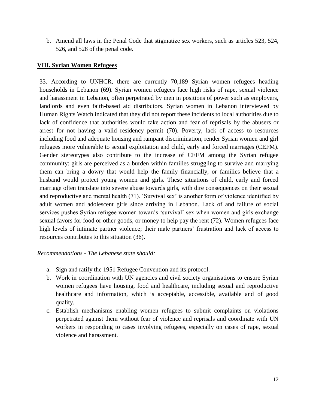b. Amend all laws in the Penal Code that stigmatize sex workers, such as articles 523, 524, 526, and 528 of the penal code.

### **VIII. Syrian Women Refugees**

33. According to UNHCR, there are currently 70,189 Syrian women refugees heading households in Lebanon (69). Syrian women refugees face high risks of rape, sexual violence and harassment in Lebanon, often perpetrated by men in positions of power such as employers, landlords and even faith-based aid distributors. Syrian women in Lebanon interviewed by Human Rights Watch indicated that they did not report these incidents to local authorities due to lack of confidence that authorities would take action and fear of reprisals by the abusers or arrest for not having a valid residency permit (70). Poverty, lack of access to resources including food and adequate housing and rampant discrimination, render Syrian women and girl refugees more vulnerable to sexual exploitation and child, early and forced marriages (CEFM). Gender stereotypes also contribute to the increase of CEFM among the Syrian refugee community: girls are perceived as a burden within families struggling to survive and marrying them can bring a dowry that would help the family financially, or families believe that a husband would protect young women and girls. These situations of child, early and forced marriage often translate into severe abuse towards girls, with dire consequences on their sexual and reproductive and mental health (71). 'Survival sex' is another form of violence identified by adult women and adolescent girls since arriving in Lebanon. Lack of and failure of social services pushes Syrian refugee women towards 'survival' sex when women and girls exchange sexual favors for food or other goods, or money to help pay the rent (72). Women refugees face high levels of intimate partner violence; their male partners' frustration and lack of access to resources contributes to this situation (36).

#### *Recommendations - The Lebanese state should:*

- a. Sign and ratify the 1951 Refugee Convention and its protocol.
- b. Work in coordination with UN agencies and civil society organisations to ensure Syrian women refugees have housing, food and healthcare, including sexual and reproductive healthcare and information, which is acceptable, accessible, available and of good quality.
- c. Establish mechanisms enabling women refugees to submit complaints on violations perpetrated against them without fear of violence and reprisals and coordinate with UN workers in responding to cases involving refugees, especially on cases of rape, sexual violence and harassment.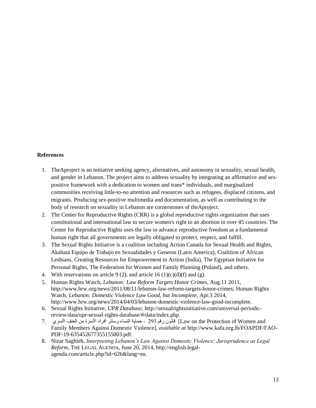#### **References**

- 1. TheAproject is an initiative seeking agency, alternatives, and autonomy in sexuality, sexual health, and gender in Lebanon. The project aims to address sexuality by integrating an affirmative and sexpositive framework with a dedication to women and trans\* individuals, and marginalized communities receiving little-to-no attention and resources such as refugees, displaced citizens, and migrants. Producing sex-positive multimedia and documentation, as well as contributing to the body of research on sexuality in Lebanon are cornerstones of theAproject.
- 2. The Center for Reproductive Rights (CRR) is a global reproductive rights organization that uses constitutional and international law to secure women's right to an abortion in over 45 countries. The Center for Reproductive Rights uses the law to advance reproductive freedom as a fundamental human right that all governments are legally obligated to protect, respect, and fulfill.
- 3. The Sexual Rights Initiative is a coalition including Action Canada for Sexual Health and Rights, Akahatá Equipo de Trabajo en Sexualidades y Generos (Latin America), Coalition of African Lesbians, Creating Resources for Empowerment in Action (India), The Egyptian Initiative for Personal Rights, The Federation for Women and Family Planning (Poland), and others.
- 4. With reservations on article 9 (2), and article 16 (1)(c)(d)(f) and (g).
- 5. Human Rights Watch, *Lebanon: Law Reform Targets Honor Crimes*, Aug.11 2011, http://www.hrw.org/news/2011/08/11/lebanon-law-reform-targets-honor-crimes; Human Rights Watch, *Lebanon: Domestic Violence Law Good, but Incomplete*, Apr.3 2014, http://www.hrw.org/news/2014/04/03/lebanon-domestic-violence-law-good-incomplete.
- 6. Sexual Rights Initiative, *UPR Database*, [http://sexualrightsinitiative.com/universal-periodic](http://sexualrightsinitiative.com/universal-periodic-review/data/upr-sexual-rights-database/#/data/index.php)[review/data/upr-sexual-rights-database/#/data/index.php.](http://sexualrightsinitiative.com/universal-periodic-review/data/upr-sexual-rights-database/#/data/index.php)
- and Women of Protection the on Law [قانون رقم 293 حماية النساء وسائر أفراد األسرة من العنف األسري 7. Family Members Against Domestic Violence], *available at* [http://www.kafa.org.lb/FOAPDF/FAO-](http://www.kafa.org.lb/FOAPDF/FAO-PDF-19-635452677355155003.pdf)[PDF-19-635452677355155003.pdf.](http://www.kafa.org.lb/FOAPDF/FAO-PDF-19-635452677355155003.pdf)
- 8. Nizar Saghieh, *Interpreting Lebanon's Law Against Domestic Violence: Jurisprudence as Legal Reform,* THE LEGAL AGENDA, June 20, 2014, [http://english.legal](http://english.legal-agenda.com/article.php?id=626&lang=en)[agenda.com/article.php?id=626&lang=en.](http://english.legal-agenda.com/article.php?id=626&lang=en)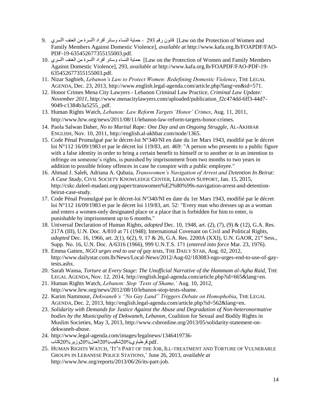- and Women of Protection the on Law [قانون رقم 293 حماية النساء وسائر أفراد األسرة من العنف األسري 9. Family Members Against Domestic Violence], *available at* [http://www.kafa.org.lb/FOAPDF/FAO-](http://www.kafa.org.lb/FOAPDF/FAO-PDF-19-635452677355155003.pdf)[PDF-19-635452677355155003.pdf.](http://www.kafa.org.lb/FOAPDF/FAO-PDF-19-635452677355155003.pdf)
- 10. األسري العنف من األسرة أفراد وسائر النساء حماية] Law on the Protection of Women and Family Members Against Domestic Violence], 293, *available at* [http://www.kafa.org.lb/FOAPDF/FAO-PDF-19-](http://www.kafa.org.lb/FOAPDF/FAO-PDF-19-635452677355155003.pdf) [635452677355155003.pdf.](http://www.kafa.org.lb/FOAPDF/FAO-PDF-19-635452677355155003.pdf)
- 11. Nizar Saghieh, *Lebanon's Law to Protect Women: Redefining Domestic Violence*, THE LEGAL AGENDA, Dec. 23, 2013[, http://www.english.legal-agenda.com/article.php?lang=en&id=571.](http://www.english.legal-agenda.com/article.php?lang=en&id=571)
- 12. Honor Crimes Mena City Lawyers Lebanon Criminal Law Practice*, Criminal Law Update: November 2011*, [http://www.menacitylawyers.com/uploaded/publication\\_f2c474dd-6ff3-44d7-](http://www.menacitylawyers.com/uploaded/publication_f2c474dd-6ff3-44d7-9049-c1384b3a5255_.pdf) [9049-c1384b3a5255\\_.pdf.](http://www.menacitylawyers.com/uploaded/publication_f2c474dd-6ff3-44d7-9049-c1384b3a5255_.pdf)
- 13. Human Rights Watch, *Lebanon: Law Reform Targets 'Honor' Crimes*, Aug. 11, 2011, http://www.hrw.org/news/2011/08/11/lebanon-law-reform-targets-honor-crimes.
- 14. Paola Salwan Daher, *No to Marital Rape: One Day and an Ongoing Struggle*, AL-AKHBAR ENGLISH, Nov. 10, 2011[, http://english.al-akhbar.com/node/1365.](http://english.al-akhbar.com/node/1365)
- 15. Code Pénal Promulgué par le décret-loi N°340/NI en date du 1er Mars 1943, modifié par le décret loi N°112 16/09/1983 et par le décret loi 119/83, art. 469: "A person who presents to a public figure with a false identity in order to bring a certain benefit to himself or to another or in an intention to infringe on someone's rights, is punished by imprisonment from two months to two years in addition to possible felony offences in case he conspire with a public employee."
- 16. Ahmad J. Saleh, Adriana A. Qubaia, *Transwomen's Navigation of Arrest and Detention In Beirut: A Case Study*, CIVIL SOCIETY KNOWLEDGE CENTER, LEBANON SUPPORT, Jan. 15, 2015, http://cskc.daleel-madani.org/paper/transwomen%E2%80%99s-navigation-arrest-and-detentionbeirut-case-study.
- 17. Code Pénal Promulgué par le décret-loi N°340/NI en date du 1er Mars 1943, modifié par le décret loi N°112 16/09/1983 et par le décret loi 119/83, art. 52: "Every man who dresses up as a woman and enters a women-only designated place or a place that is forbidden for him to enter, is punishable by imprisonment up to 6 months."
- 18. Universal Declaration of Human Rights, *adopted* Dec. 10, 1948, art. (2), (7), (9) & (12), G.A. Res. 217A (III), U.N. Doc. A/810 at 71 (1948); International Covenant on Civil and Political Rights, *adopted Dec.* 16, 1966, art. 2(1), 6(2), 9, 17 & 26, G.A. Res. 2200A (XXI), U.N. GAOR, 21<sup>st</sup> Sess., Supp. No. 16, U.N. Doc. A/6316 (1966), 999 U.N.T.S. 171 (*entered into force* Mar. 23, 1976).
- 19. Emma Gatten, *NGO urges end to use of gay tests*, THE DAILY STAR, Aug. 02, 2012, http://www.dailystar.com.lb/News/Local-News/2012/Aug-02/183083-ngo-urges-end-to-use-of-gaytests.ashx.
- 20. Sarah Wansa, *Torture at Every Stage: The Unofficial Narrative of the Hammam al-Agha Raid*, THE LEGAL AGENDA, Nov. 12, 2014, http://english.legal-agenda.com/article.php?id=665&lang=en.
- 21. Human Rights Watch, *Lebanon: Stop 'Tests of Shame,'* Aug. 10, 2012, http://www.hrw.org/news/2012/08/10/lebanon-stop-tests-shame.
- 22. Karim Nammour, *Dekwaneh's "No Gay Land" Triggers Debate on Homophobia*, THE LEGAL AGENDA, Dec. 2, 2013, http://english.legal-agenda.com/article.php?id=562&lang=en.
- 23. *Solidarity with Demands for Justice Against the Abuse and Degradation of Non-heteronormative bodies by the Municipality of Dekwaneh, Lebanon*, Coalition for Sexual and Bodily Rights in Muslim Societies, May 3, 2013, http://www.csbronline.org/2013/05/solidarity-statement-ondekwaneh-abuse.
- 24. [http://www.legal-agenda.com/images/legalnews/1346419736-](http://www.legal-agenda.com/images/legalnews/1346419736-كتاب%20وزير%20العدل%20شكيب%20قرطباوي.pdf) [.pdf.قرطباوي20%شكيب20%العدل20%وزير20%كتاب](http://www.legal-agenda.com/images/legalnews/1346419736-كتاب%20وزير%20العدل%20شكيب%20قرطباوي.pdf)
- 25. HUMAN RIGHTS WATCH, 'IT'S PART OF THE JOB, ILL-TREATMENT AND TORTURE OF VULNERABLE GROUPS IN LEBANESE POLICE STATIONS,' June 26, 2013, *available at*  http://www.hrw.org/reports/2013/06/26/its-part-job.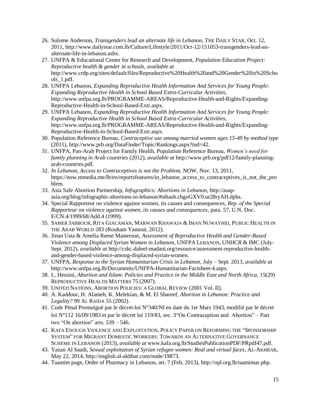- 26. Sulome Anderson, *Transgenders lead an alternate life in Lebanon*, THE DAILY STAR, Oct. 12, 2011, [http://www.dailystar.com.lb/Culture/Lifestyle/2011/Oct-12/151053-transgenders-lead-an](http://www.dailystar.com.lb/Culture/Lifestyle/2011/Oct-12/151053-transgenders-lead-an-alternate-life-in-lebanon.ashx)[alternate-life-in-lebanon.ashx.](http://www.dailystar.com.lb/Culture/Lifestyle/2011/Oct-12/151053-transgenders-lead-an-alternate-life-in-lebanon.ashx)
- 27. UNFPA & Educational Center for Research and Development, *Population Education Project: Reproductive health & gender in schools, available at* http://www.crdp.org/sites/default/files/Reproductive%20Health%20and%20Gender%20in%20Scho ols\_1.pdf.
- 28. UNFPA Lebanon, *Expanding Reproductive Health Information And Services for Young People: Expanding Reproductive Health in School Based Extra-Curricular Activities,*  http://www.unfpa.org.lb/PROGRAMME-AREAS/Reproductive-Health-and-Rights/Expanding-Reproductive-Health-in-School-Based-Extr.aspx.
- 29. UNFPA Lebanon, *Expanding Reproductive Health Information And Services for Young People: Expanding Reproductive Health in School Based Extra-Curricular Activities,* http://www.unfpa.org.lb/PROGRAMME-AREAS/Reproductive-Health-and-Rights/Expanding-Reproductive-Health-in-School-Based-Extr.aspx.
- 30. Population Reference Bureau, *Contraceptive use among married women ages 15-49 by method type* (2011), http://www.prb.org/DataFinder/Topic/Rankings.aspx?ind=42.
- 31. UNFPA, Pan-Arab Project for Family Health, Population Reference Bureau, *Women's need for family planning in Arab countries* (2012), *available at* [http://www.prb.org/pdf12/family-planning](http://www.prb.org/pdf12/family-planning-arab-countries.pdf)[arab-countries.pdf.](http://www.prb.org/pdf12/family-planning-arab-countries.pdf)
- 32. *In Lebanon, Access to Contraceptives is not the Problem,* NOW, Nov. 13, 2011, https://now.mmedia.me/lb/en/reportsfeatures/in\_lebanon\_access\_to\_contraceptives\_is\_not\_the\_pro blem.
- 33. Asia Safe Abortion Partnership, *Infographics: Abortions in Lebanon*, http://asapasia.org/blog/infographic-abortions-in-lebanon/#sthash.cbgoGXV0.ur28ryAH.dpbs.
- 34. Special Rapporteur on violence against women, its causes and consequences, *Rep. of the Special Rapporteur on violence against women, its causes and consequences*, para. 57, U.N. Doc. E/CN.4/1999/68/Add.4 (1999).
- 35. SAMER JABBOUR, RITA GIACAMAN, MARWAN KHAWAJA & IMAN NUWAYHID, PUBLIC HEALTH IN THE ARAB WORLD 283 (Rouham Yamout, 2012).
- 36. Jinan Usta & Amelia Reese Masterson, *Assessment of Reproductive Health and Gender-Based Violence among Displaced Syrian Women in Lebanon*, UNFPA LEBANON, UNHCR & IMC (July-Sept. 2012), *available at* http://cskc.daleel-madani.org/resource/assessment-reproductive-healthand-gender-based-violence-among-displaced-syrian-women.
- 37. UNFPA, *Response to the Syrian Humanitarian Crisis in Lebanon*, July Sept. 2013, *available at*  http://www.unfpa.org.lb/Documents/UNFPA-Humanitarian-Factsheet-4.aspx.
- 38. L. Hessini, *Abortion and Islam: Policies and Practice in the Middle East and North Africa*, 15(29) REPRODUCTIVE HEALTH MATTERS 75 (2007).
- 39. UNITED NATIONS, ABORTION POLICIES: A GLOBAL REVIEW (2001 Vol. II).
- 40. A. Kaddour, H. Alameh, K. Melekian, & M. El Shareef, *Abortion in Lebanon: Practice and Legality?* 99 AL RAIDA 55 (2002).
- 41. Code Pénal Promulgué par le décret-loi N°340/NI en date du 1er Mars 1943, modifié par le décret loi N°112 16/09/1983 et par le décret loi 119/83, sec. 3"On Contraception and Abortion" – Part two "On abortion" arts. 539 – 546.
- 42. KAFA ENOUGH VIOLENCE AND EXPLOITATION, POLICY PAPER ON REFORMING THE "SPONSORSHIP SYSTEM" FOR MIGRANT DOMESTIC WORKERS: TOWARDS AN ALTERNATIVE GOVERNANCE SCHEME IN LEBANON (2013), *available at* www.kafa.org.lb/StudiesPublicationPDF/PRpdf47.pdf.
- 43. Yazan Al Saadi, *Sexual exploitation of Syrian refugee women: Real and virtual faces*, AL-AKHBAR, May 22, 2014, http://english.al-akhbar.com/node/19873.
- 44. Taamim page, Order of Pharmacy in Lebanon, art. 7 (Feb, 2013), http://opl.org.lb/taamimar.php.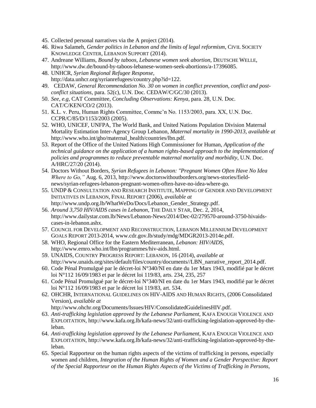- 45. Collected personal narratives via the A project (2014).
- 46. Riwa Salameh, *Gender politics in Lebanon and the limits of legal reformism*, CIVIL SOCIETY KNOWLEDGE CENTER, LEBANON SUPPORT (2014).
- 47. Andreane Williams, *Bound by taboos, Lebanese women seek abortion*, DEUTSCHE WELLE, http://www.dw.de/bound-by-taboos-lebanese-women-seek-abortions/a-17396085.
- 48. UNHCR, *Syrian Regional Refugee Response,* http://data.unhcr.org/syrianrefugees/country.php?id=122.
- 49. CEDAW, *General Recommendation No. 30 on women in conflict prevention, conflict and postconflict situations*, para. 52(c), U.N. Doc. CEDAW/C/GC/30 (2013).
- 50. *See, e.g,* CAT Committee, *Concluding Observations: Kenya*, para. 28, U.N. Doc. CAT/C/KEN/CO/2 (2013).
- 51. K.L. v. Peru, Human Rights Committee, Commc'n No. 1153/2003, para. XX, U.N. Doc. CCPR/C/85/D/1153/2003 (2005).
- 52. WHO, UNICEF, UNFPA, The World Bank, and United Nations Population Division Maternal Mortality Estimation Inter-Agency Group Lebanon, *Maternal mortality in 1990-2013, available at* http://www.who.int/gho/maternal\_health/countries/lbn.pdf.
- 53. Report of the Office of the United Nations High Commissioner for Human, *Application of the technical guidance on the application of a human rights-based approach to the implementation of policies and programmes to reduce preventable maternal mortality and morbidity*, U.N. Doc. A/HRC/27/20 (2014).
- 54. Doctors Without Borders, *Syrian Refugees in Lebanon: "Pregnant Women Often Have No Idea Where to Go,"* Aug. 6, 2013, http://www.doctorswithoutborders.org/news-stories/fieldnews/syrian-refugees-lebanon-pregnant-women-often-have-no-idea-where-go.
- 55. UNDP & CONSULTATION AND RESEARCH INSTITUTE, MAPPING OF GENDER AND DEVELOPMENT INITIATIVES IN LEBANON, FINAL REPORT (2006), *available at* http://www.undp.org.lb/WhatWeDo/Docs/Lebanon\_Gender\_Strategy.pdf.
- 56. *Around 3,750 HIV/AIDS cases in Lebanon*, THE DAILY STAR, Dec. 2, 2014, http://www.dailystar.com.lb/News/Lebanon-News/2014/Dec-02/279570-around-3750-hivaidscases-in-lebanon.ashx.
- 57. COUNCIL FOR DEVELOPMENT AND RECONSTRUCTION, LEBANON MILLENNIUM DEVELOPMENT GOALS REPORT 2013-2014, www.cdr.gov.lb/study/mdg/MDGR2013-2014e.pdf.
- 58. WHO, Regional Office for the Eastern Mediterranean, *Lebanon: HIV/AIDS,* http://www.emro.who.int/lbn/programmes/hiv-aids.html.
- 59. UNAIDS, COUNTRY PROGRESS REPORT: LEBANON, 16 (2014), *available at* http://www.unaids.org/sites/default/files/country/documents//LBN\_narrative\_report\_2014.pdf.
- 60. Code Pénal Promulgué par le décret-loi N°340/NI en date du 1er Mars 1943, modifié par le décret loi N°112 16/09/1983 et par le décret loi 119/83, arts. 234, 235, 257
- 61. Code Pénal Promulgué par le décret-loi N°340/NI en date du 1er Mars 1943, modifié par le décret loi N°112 16/09/1983 et par le décret loi 119/83, art. 534.
- 62. OHCHR, INTERNATIONAL GUIDELINES ON HIV-AIDS AND HUMAN RIGHTS, (2006 Consolidated Version), *available at*

http://www.ohchr.org/Documents/Issues/HIV/ConsolidatedGuidelinesHIV.pdf.

- 63. *Anti-trafficking legislation approved by the Lebanese Parliament,* KAFA ENOUGH VIOLENCE AND EXPLOITATION, http://www.kafa.org.lb/kafa-news/32/anti-trafficking-legislation-approved-by-theleban.
- 64. *Anti-trafficking legislation approved by the Lebanese Parliament,* KAFA ENOUGH VIOLENCE AND EXPLOITATION, http://www.kafa.org.lb/kafa-news/32/anti-trafficking-legislation-approved-by-theleban.
- 65. Special Rapporteur on the human rights aspects of the victims of trafficking in persons, especially women and children, *Integration of the Human Rights of Women and a Gender Perspective: Report of the Special Rapporteur on the Human Rights Aspects of the Victims of Trafficking in Persons,*